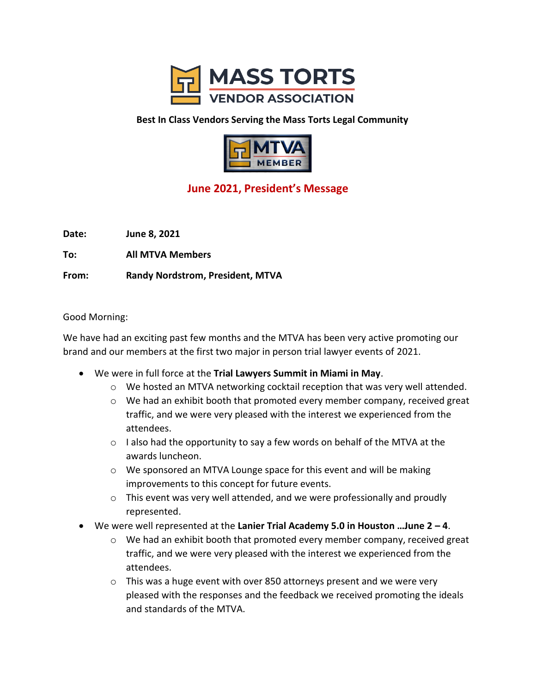

## **Best In Class Vendors Serving the Mass Torts Legal Community**



## **June 2021, President's Message**

**Date: June 8, 2021**

**To: All MTVA Members**

**From: Randy Nordstrom, President, MTVA**

Good Morning:

We have had an exciting past few months and the MTVA has been very active promoting our brand and our members at the first two major in person trial lawyer events of 2021.

- We were in full force at the **Trial Lawyers Summit in Miami in May**.
	- $\circ$  We hosted an MTVA networking cocktail reception that was very well attended.
	- $\circ$  We had an exhibit booth that promoted every member company, received great traffic, and we were very pleased with the interest we experienced from the attendees.
	- $\circ$  I also had the opportunity to say a few words on behalf of the MTVA at the awards luncheon.
	- o We sponsored an MTVA Lounge space for this event and will be making improvements to this concept for future events.
	- o This event was very well attended, and we were professionally and proudly represented.
- We were well represented at the **Lanier Trial Academy 5.0 in Houston …June 2 – 4**.
	- $\circ$  We had an exhibit booth that promoted every member company, received great traffic, and we were very pleased with the interest we experienced from the attendees.
	- $\circ$  This was a huge event with over 850 attorneys present and we were very pleased with the responses and the feedback we received promoting the ideals and standards of the MTVA.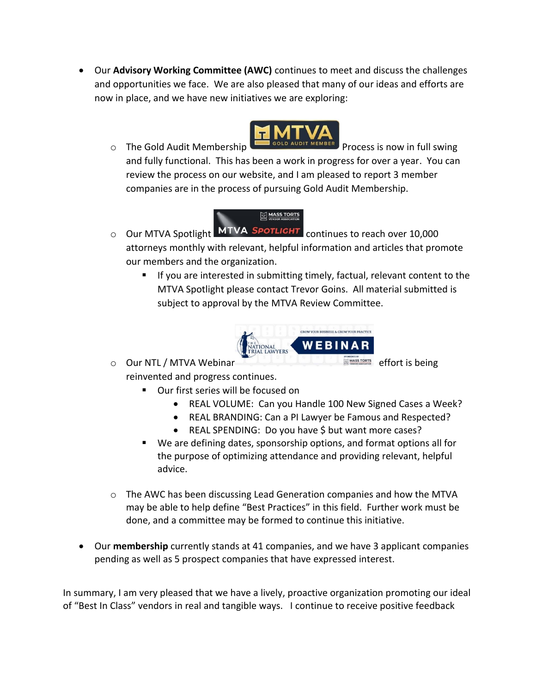• Our **Advisory Working Committee (AWC)** continues to meet and discuss the challenges and opportunities we face. We are also pleased that many of our ideas and efforts are now in place, and we have new initiatives we are exploring:



o The Gold Audit Membership **Process is now in full swing** and fully functional. This has been a work in progress for over a year. You can review the process on our website, and I am pleased to report 3 member companies are in the process of pursuing Gold Audit Membership.



- $\circ$  Our MTVA Spotlight MTVA SPOTLIGHT continues to reach over 10,000 attorneys monthly with relevant, helpful information and articles that promote our members and the organization.
	- If you are interested in submitting timely, factual, relevant content to the MTVA Spotlight please contact Trevor Goins. All material submitted is subject to approval by the MTVA Review Committee.



o Our NTL / MTVA Webinar **Example 2018** Superintensity of Fort is being

- reinvented and progress continues.
	- Our first series will be focused on
		- REAL VOLUME: Can you Handle 100 New Signed Cases a Week?
		- REAL BRANDING: Can a PI Lawyer be Famous and Respected?
		- REAL SPENDING: Do you have \$ but want more cases?
	- We are defining dates, sponsorship options, and format options all for the purpose of optimizing attendance and providing relevant, helpful advice.
- $\circ$  The AWC has been discussing Lead Generation companies and how the MTVA may be able to help define "Best Practices" in this field. Further work must be done, and a committee may be formed to continue this initiative.
- Our **membership** currently stands at 41 companies, and we have 3 applicant companies pending as well as 5 prospect companies that have expressed interest.

In summary, I am very pleased that we have a lively, proactive organization promoting our ideal of "Best In Class" vendors in real and tangible ways. I continue to receive positive feedback